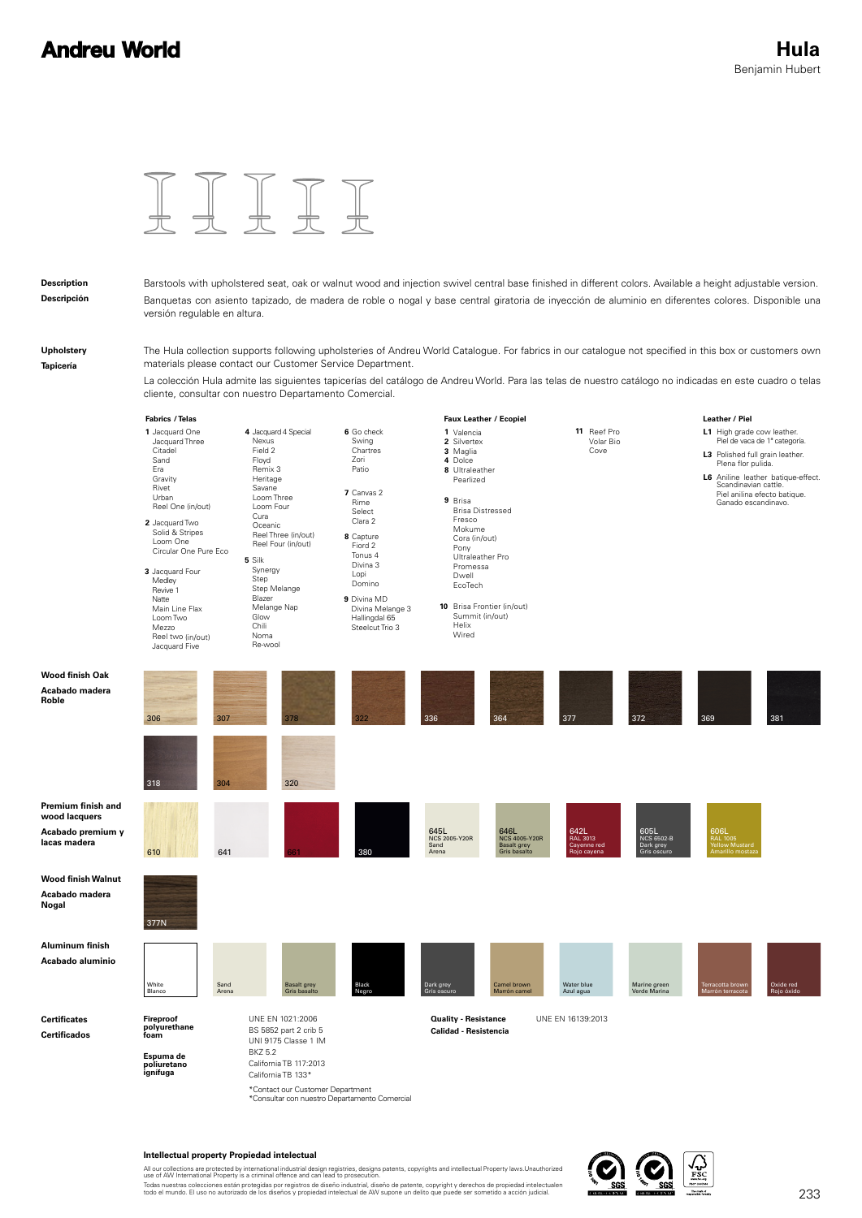

### **Description Descripción**

Barstools with upholstered seat, oak or walnut wood and injection swivel central base finished in different colors. Available a height adjustable version. Banquetas con asiento tapizado, de madera de roble o nogal y base central giratoria de inyección de aluminio en diferentes colores. Disponible una versión regulable en altura.

**Upholstery Tapicería**

The Hula collection supports following upholsteries of Andreu World Catalogue. For fabrics in our catalogue not specified in this box or customers own materials please contact our Customer Service Department.

La colección Hula admite las siguientes tapicerías del catálogo de Andreu World. Para las telas de nuestro catálogo no indicadas en este cuadro o telas cliente, consultar con nuestro Departamento Comercial.



#### **Intellectual property Propiedad intelectual**

All our collections are protected by international industrial design registries, designs patents, copyrights and intellectual Property laws.Unauthorized<br>use of AW International Property is a criminal offence and can lead t Todas nuestras colecciones están protegidas por registros de diseño industrial, diseño de patente, copyright y derechos de propiedad intelectualen<br>todo el mundo. El uso no autorizado de los diseños y propiedad intelectual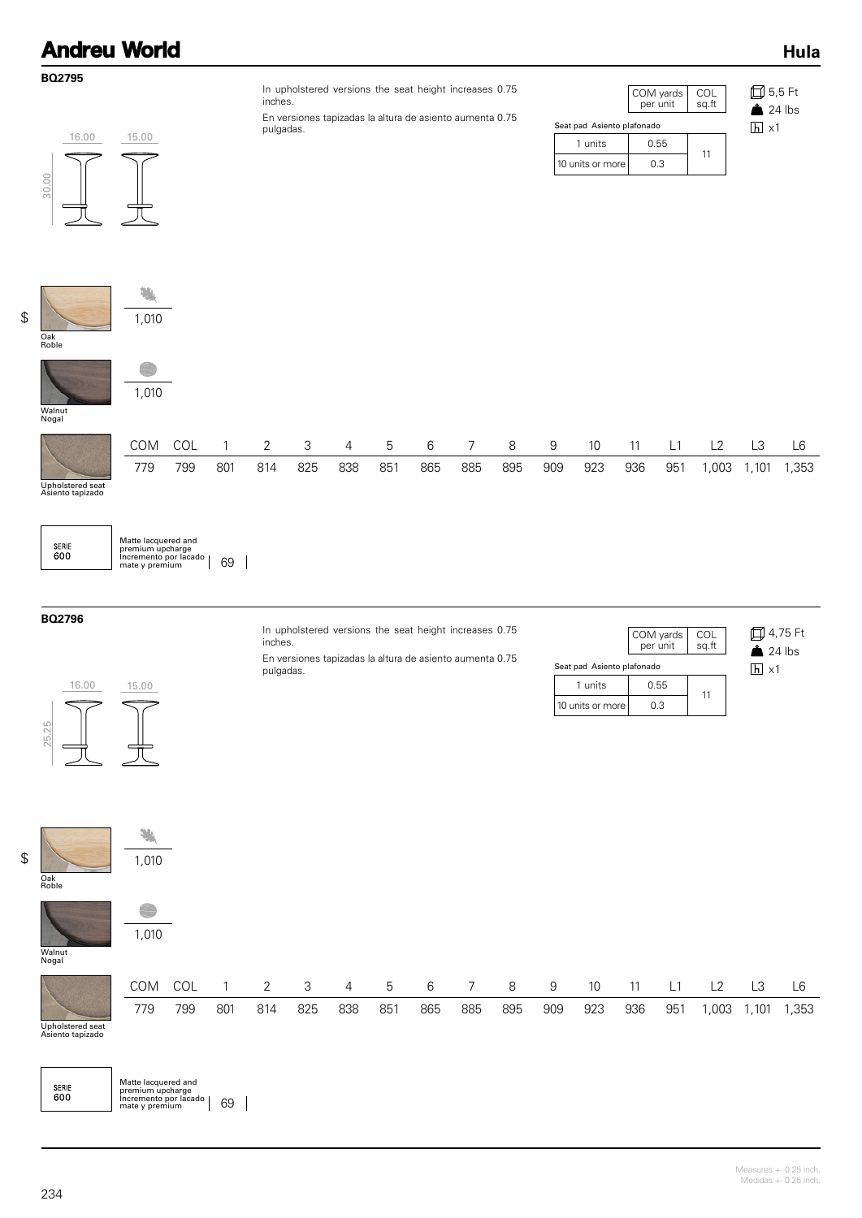| <b>Andreu World</b>   |                                                                       |                            |                       |                                     |                             |
|-----------------------|-----------------------------------------------------------------------|----------------------------|-----------------------|-------------------------------------|-----------------------------|
| <b>BQ2795</b>         | In upholstered versions the seat height increases 0.75<br>inches.     |                            | COM yards<br>per unit | $\overset{\text{COL}}{\text{sq.t}}$ | <b>□</b> 5,5 Ft<br>$24$ lbs |
|                       | En versiones tapizadas la altura de asiento aumenta 0.75<br>pulgadas. | Seat pad Asiento plafonado |                       |                                     | $h \times 1$                |
| 16.00<br>15.00        |                                                                       | 1 units                    | 0.55                  |                                     |                             |
| 30.00                 |                                                                       | 10 units or more           | 0.3                   | 11                                  |                             |
|                       |                                                                       |                            |                       |                                     |                             |
| 1,010<br>Oak<br>Roble |                                                                       |                            |                       |                                     |                             |
|                       |                                                                       |                            |                       |                                     |                             |

Walnut Nogal

|                                      | COM | COL |     | $\sim$ |     | $\overline{4}$ | 5            | 6   |     | 8   | 9   | 10  |     |     |      |      | L6   |
|--------------------------------------|-----|-----|-----|--------|-----|----------------|--------------|-----|-----|-----|-----|-----|-----|-----|------|------|------|
|                                      | 779 | 799 | 801 | 814    | 825 | 838            | $85^{\circ}$ | 865 | 885 | 895 | 909 | 923 | 936 | 951 | ,003 | ,101 | .353 |
| Upholstered seat<br>Asiento tapizado |     |     |     |        |     |                |              |     |     |     |     |     |     |     |      |      |      |

| <b>SERIE</b><br>600 |  |
|---------------------|--|
|                     |  |

Matte lacquered and premium upcharge Incremento por lacado mate y premium 69

1,010

### **BQ2796**

In upholstered versions the seat height increases 0.75 inches.

En versiones tapizadas la altura de asiento aumenta 0.75 pulgadas.

|                            |                    | COM yards<br>per unit | COL<br>sq.ft |  |  |  |  |  |  |  |  |
|----------------------------|--------------------|-----------------------|--------------|--|--|--|--|--|--|--|--|
| Seat pad Asiento plafonado |                    |                       |              |  |  |  |  |  |  |  |  |
|                            | 1 units            | 0.55                  |              |  |  |  |  |  |  |  |  |
|                            | 10 units or more l | 0.3                   |              |  |  |  |  |  |  |  |  |

4,75 Ft  $24$  lbs  $\overline{h}$  x1

**Hula**





Upholstered seat Asiento tapizado

| <b>SERIE</b><br>600 | Matte lacquered and<br>premium upcharge<br>Incremento por lacado |
|---------------------|------------------------------------------------------------------|

 $\frac{1}{2}$  mate y premium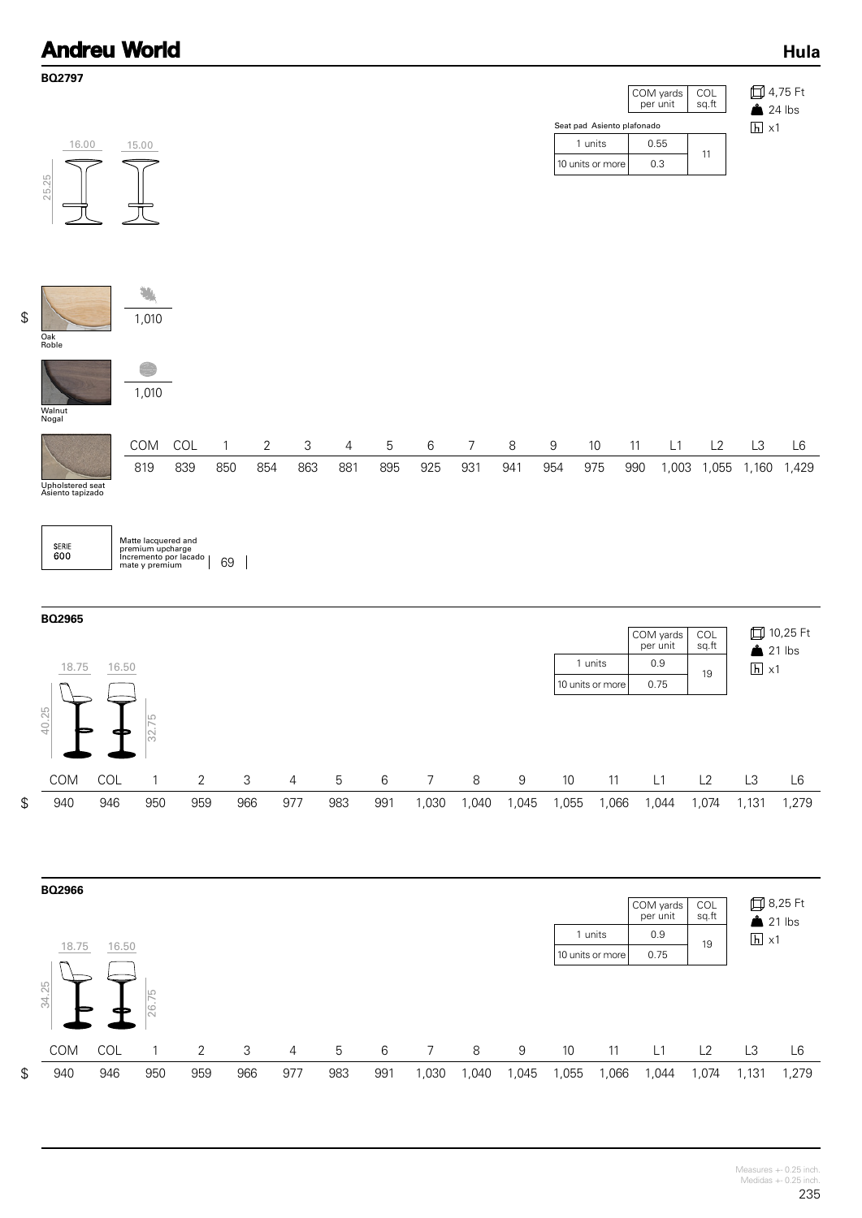|                                               | <b>Andreu World</b>                                              |            |                             |                                                             |                                              |          |          |          |                           |                       |                           |                         |                                                           |                                      |                           |                         | Hula                          |
|-----------------------------------------------|------------------------------------------------------------------|------------|-----------------------------|-------------------------------------------------------------|----------------------------------------------|----------|----------|----------|---------------------------|-----------------------|---------------------------|-------------------------|-----------------------------------------------------------|--------------------------------------|---------------------------|-------------------------|-------------------------------|
|                                               | BQ2797<br>16.00<br>25.25                                         |            | 15.00                       |                                                             |                                              |          |          |          |                           |                       |                           |                         | Seat pad Asiento plafonado<br>1 units<br>10 units or more | COM yards<br>per unit<br>0.55<br>0.3 | <b>COL</b><br>sq.ft<br>11 | $\overline{h}$ x1       | 口 4,75 Ft<br>$24$ lbs         |
| $$\mathfrak{S}$$                              | Oak<br>Roble                                                     |            | 1,010<br>1,010              |                                                             |                                              |          |          |          |                           |                       |                           |                         |                                                           |                                      |                           |                         |                               |
|                                               | Walnut<br>Nogal<br>Upholstered seat<br>Asiento tapizado<br>SERIE |            | COM<br>819                  | COL<br>839<br>Matte lacquered and                           | $\overline{2}$<br>$\mathbf{1}$<br>850<br>854 | 3<br>863 | 4<br>881 | 5<br>895 | 6<br>925                  | $\overline{7}$<br>931 | $\,8\,$<br>941            | $\boldsymbol{9}$<br>954 | 10<br>975                                                 | 11<br>L1<br>990                      | L2<br>1,003 1,055 1,160   | L3                      | L6<br>1,429                   |
|                                               | 600<br>BQ2965<br>18.75<br>$\sqrt{2}$<br>40.25                    | 16.50      | LO                          | premium upcharge<br>Incremento por lacado<br>mate y premium | 69<br>$\overline{\phantom{a}}$               |          |          |          |                           |                       |                           |                         | 1 units<br>10 units or more                               | COM yards<br>per unit<br>0.9<br>0.75 | COL<br>sq.ft<br>19        | $h \times 1$            | <b>□ 10,25 Ft</b><br>$21$ lbs |
| $$\mathfrak{S}$$                              | COM<br>940                                                       | COL<br>946 | 32.7<br>$\mathbf{1}$<br>950 | $\mathbf{2}$<br>959                                         | 3<br>966                                     | 4<br>977 | 5<br>983 | 6<br>991 | $\boldsymbol{7}$<br>1,030 | $\,8\,$<br>1,040      | $\boldsymbol{9}$<br>1,045 | $10$<br>1,055           | 11<br>1,066                                               | L1<br>1,044                          | L2<br>1,074               | L <sub>3</sub><br>1,131 | $\mathsf{L}6$<br>1,279        |
|                                               | BQ2966<br>18.75<br>34.25                                         | 16.50      | 26.75                       |                                                             |                                              |          |          |          |                           |                       |                           |                         | 1 units<br>10 units or more                               | COM yards<br>per unit<br>0.9<br>0.75 | COL<br>sq.ft<br>19        | $\overline{h}$ x1       | <b>□</b> 8,25 Ft<br>$21$ lbs  |
| $\, \, \raisebox{12pt}{$\scriptstyle \circ$}$ | COM<br>940                                                       | COL<br>946 | $\mathbf{1}$<br>950         | $\mathbf{2}$<br>959                                         | 3<br>966                                     | 4<br>977 | 5<br>983 | 6<br>991 | $\overline{7}$<br>1,030   | $\,8\,$<br>1,040      | 9<br>1,045                | $10$<br>1,055           | 11<br>1,066                                               | L1<br>1,044                          | L2<br>1,074               | L3<br>1,131             | $\mathsf{L}6$<br>1,279        |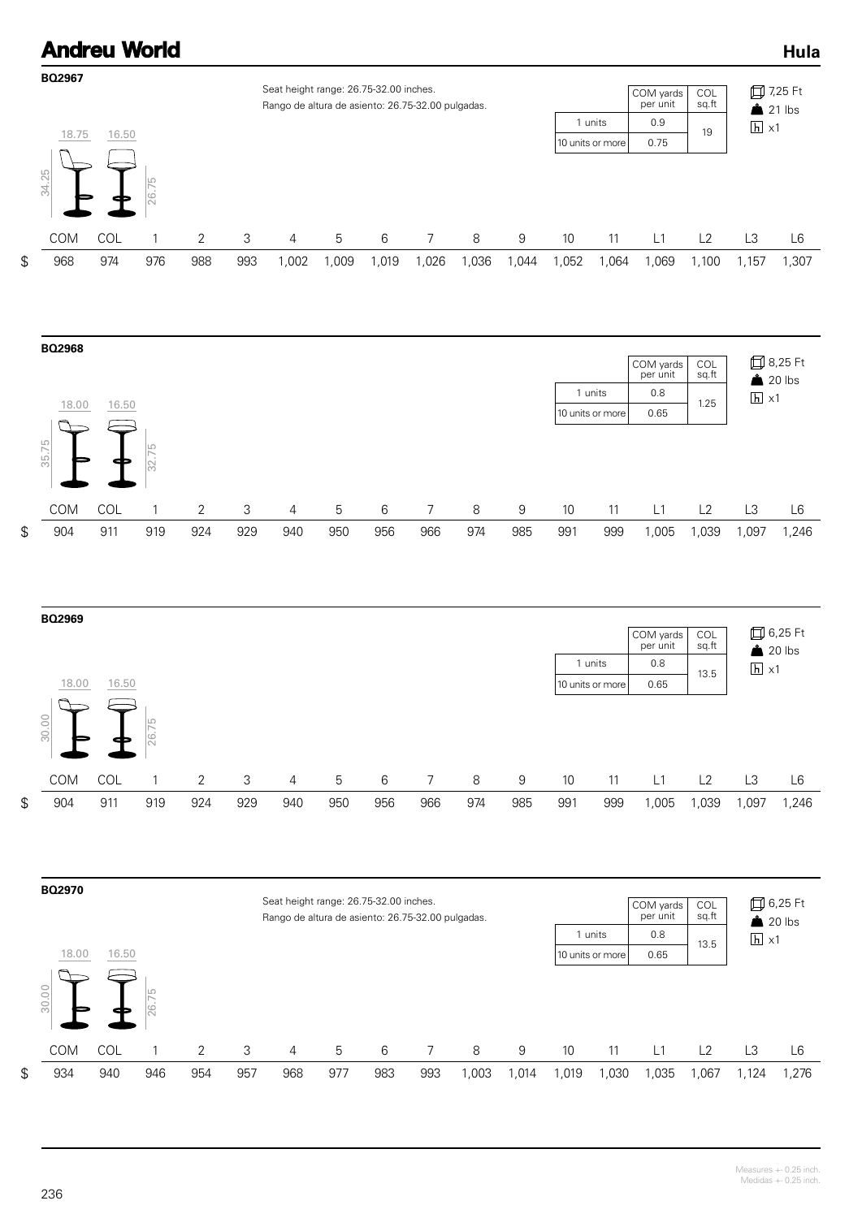# **Andreu World**









## Measures +- 0.25 inch. Medidas +- 0.25 inch.

**Hula**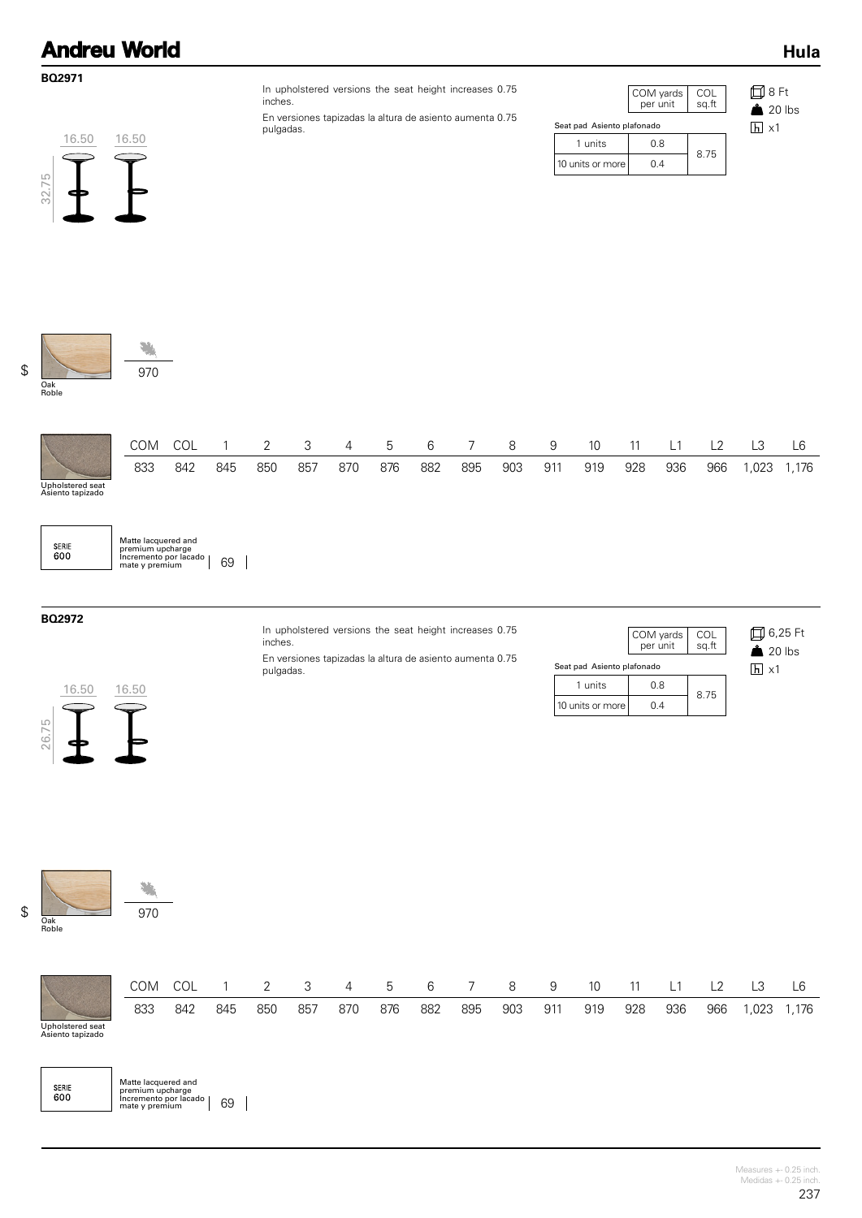| <b>Andreu World</b> |                                |
|---------------------|--------------------------------|
| <b>BO2971</b>       | In upholstered versions the se |

En versiones tapizadas la altura de asiento aumenta 0.75 pulgadas.

|                            | COM yards<br>per unit | COL<br>sg.ft |  |  |  |  |  |  |  |  |  |
|----------------------------|-----------------------|--------------|--|--|--|--|--|--|--|--|--|
| Seat pad Asiento plafonado |                       |              |  |  |  |  |  |  |  |  |  |
| 1 units                    | 0.8                   |              |  |  |  |  |  |  |  |  |  |
| 10 units or more           | በ 4                   | 8.75         |  |  |  |  |  |  |  |  |  |

8 Ft  $20$  lbs  $h \times 1$ 

Oak Roble

32.75

# \$ 970

16.50 16.50

 $\subset$ 

 $\widehat{\mathbb{F}}$ 

|                                      |     |     | COM COL 1 |     |     |     |     |     |     | 2 3 4 5 6 7 8 9 |     | - 10 | 11  | L <sub>1</sub> | L <sub>2</sub> | L3 |             |
|--------------------------------------|-----|-----|-----------|-----|-----|-----|-----|-----|-----|-----------------|-----|------|-----|----------------|----------------|----|-------------|
|                                      | 833 | 842 | 845       | 850 | 857 | 870 | 876 | 882 | 895 | 903             | 911 | 919  | 928 | 936            | 966            |    | 1,023 1,176 |
| Upholstered seat<br>Asiento tapizado |     |     |           |     |     |     |     |     |     |                 |     |      |     |                |                |    |             |

SERIE<br>600 Matte lacquered and premium upcharge Incremento por lacado mate y premium 69

### **BQ2972**

In upholstered versions the seat height increases 0.75 inches. En versiones tapizadas la altura de asiento aumenta 0.75 pulgadas.

COM yards per unit COL sq.ft 10 units or more 1 units | 0.8 8.75 0.4 Seat pad Asiento plafonado

6,25 Ft  $20$  lbs  $\overline{h}$  x1



骗  $\frac{1}{2}$  970 Oak<br>Roble

|                                      | COM | <b>COL</b> |     | $\overline{2}$ |     | 3 4 5 |     | 6   |     | - 8 | -9  | 10  |     | <u>_</u> |     |      | ∟6   |
|--------------------------------------|-----|------------|-----|----------------|-----|-------|-----|-----|-----|-----|-----|-----|-----|----------|-----|------|------|
|                                      | 833 | 842        | 845 | 850            | 857 | 870   | 876 | 882 | 895 | 903 | 911 | 919 | 928 | 936      | 966 | ,023 | .176 |
| Upholstered seat<br>Asiento tapizado |     |            |     |                |     |       |     |     |     |     |     |     |     |          |     |      |      |

| <b>SERIE</b><br>600 | Matte lacquered and<br>premium upcharge   |    |
|---------------------|-------------------------------------------|----|
|                     | Incremento por lacado  <br>mate y premium | 69 |

**Hula**